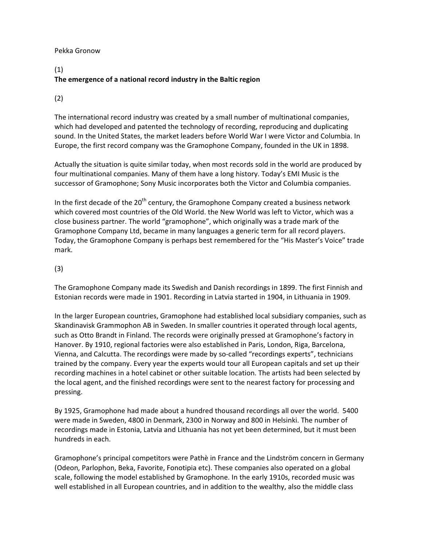### Pekka Gronow

## (1) The emergence of a national record industry in the Baltic region

### (2)

The international record industry was created by a small number of multinational companies, which had developed and patented the technology of recording, reproducing and duplicating sound. In the United States, the market leaders before World War I were Victor and Columbia. In Europe, the first record company was the Gramophone Company, founded in the UK in 1898.

Actually the situation is quite similar today, when most records sold in the world are produced by four multinational companies. Many of them have a long history. Today's EMI Music is the successor of Gramophone; Sony Music incorporates both the Victor and Columbia companies.

In the first decade of the  $20<sup>th</sup>$  century, the Gramophone Company created a business network which covered most countries of the Old World. the New World was left to Victor, which was a close business partner. The world "gramophone", which originally was a trade mark of the Gramophone Company Ltd, became in many languages a generic term for all record players. Today, the Gramophone Company is perhaps best remembered for the "His Master's Voice" trade mark.

## (3)

The Gramophone Company made its Swedish and Danish recordings in 1899. The first Finnish and Estonian records were made in 1901. Recording in Latvia started in 1904, in Lithuania in 1909.

In the larger European countries, Gramophone had established local subsidiary companies, such as Skandinavisk Grammophon AB in Sweden. In smaller countries it operated through local agents, such as Otto Brandt in Finland. The records were originally pressed at Gramophone's factory in Hanover. By 1910, regional factories were also established in Paris, London, Riga, Barcelona, Vienna, and Calcutta. The recordings were made by so-called "recordings experts", technicians trained by the company. Every year the experts would tour all European capitals and set up their recording machines in a hotel cabinet or other suitable location. The artists had been selected by the local agent, and the finished recordings were sent to the nearest factory for processing and pressing.

By 1925, Gramophone had made about a hundred thousand recordings all over the world. 5400 were made in Sweden, 4800 in Denmark, 2300 in Norway and 800 in Helsinki. The number of recordings made in Estonia, Latvia and Lithuania has not yet been determined, but it must been hundreds in each.

Gramophone's principal competitors were Pathè in France and the Lindström concern in Germany (Odeon, Parlophon, Beka, Favorite, Fonotipia etc). These companies also operated on a global scale, following the model established by Gramophone. In the early 1910s, recorded music was well established in all European countries, and in addition to the wealthy, also the middle class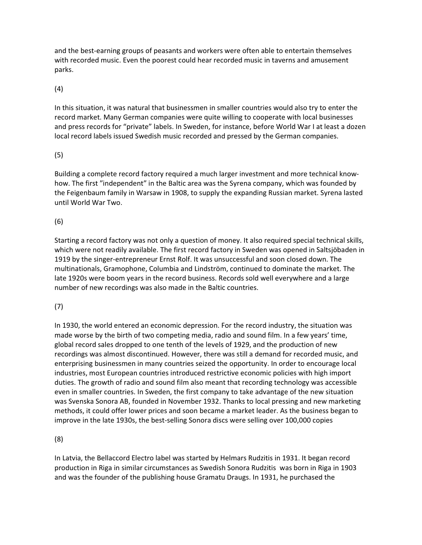and the best-earning groups of peasants and workers were often able to entertain themselves with recorded music. Even the poorest could hear recorded music in taverns and amusement parks.

(4)

In this situation, it was natural that businessmen in smaller countries would also try to enter the record market. Many German companies were quite willing to cooperate with local businesses and press records for "private" labels. In Sweden, for instance, before World War I at least a dozen local record labels issued Swedish music recorded and pressed by the German companies.

# (5)

Building a complete record factory required a much larger investment and more technical knowhow. The first "independent" in the Baltic area was the Syrena company, which was founded by the Feigenbaum family in Warsaw in 1908, to supply the expanding Russian market. Syrena lasted until World War Two.

# (6)

Starting a record factory was not only a question of money. It also required special technical skills, which were not readily available. The first record factory in Sweden was opened in Saltsjöbaden in 1919 by the singer-entrepreneur Ernst Rolf. It was unsuccessful and soon closed down. The multinationals, Gramophone, Columbia and Lindström, continued to dominate the market. The late 1920s were boom years in the record business. Records sold well everywhere and a large number of new recordings was also made in the Baltic countries.

## (7)

In 1930, the world entered an economic depression. For the record industry, the situation was made worse by the birth of two competing media, radio and sound film. In a few years' time, global record sales dropped to one tenth of the levels of 1929, and the production of new recordings was almost discontinued. However, there was still a demand for recorded music, and enterprising businessmen in many countries seized the opportunity. In order to encourage local industries, most European countries introduced restrictive economic policies with high import duties. The growth of radio and sound film also meant that recording technology was accessible even in smaller countries. In Sweden, the first company to take advantage of the new situation was Svenska Sonora AB, founded in November 1932. Thanks to local pressing and new marketing methods, it could offer lower prices and soon became a market leader. As the business began to improve in the late 1930s, the best-selling Sonora discs were selling over 100,000 copies

(8)

In Latvia, the Bellaccord Electro label was started by Helmars Rudzitis in 1931. It began record production in Riga in similar circumstances as Swedish Sonora Rudzitis was born in Riga in 1903 and was the founder of the publishing house Gramatu Draugs. In 1931, he purchased the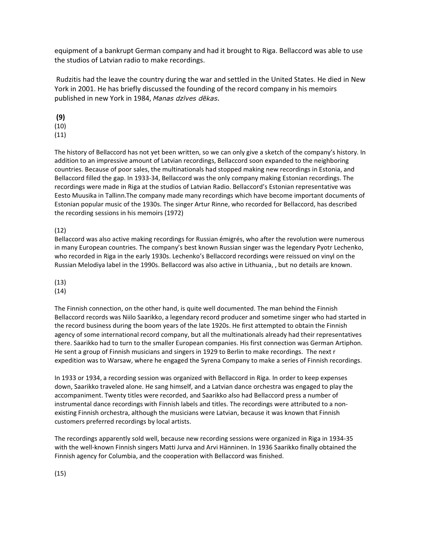equipment of a bankrupt German company and had it brought to Riga. Bellaccord was able to use the studios of Latvian radio to make recordings.

 Rudzitis had the leave the country during the war and settled in the United States. He died in New York in 2001. He has briefly discussed the founding of the record company in his memoirs published in new York in 1984, Manas dzīves dēkas.

(9)

(10)

(11)

The history of Bellaccord has not yet been written, so we can only give a sketch of the company's history. In addition to an impressive amount of Latvian recordings, Bellaccord soon expanded to the neighboring countries. Because of poor sales, the multinationals had stopped making new recordings in Estonia, and Bellaccord filled the gap. In 1933-34, Bellaccord was the only company making Estonian recordings. The recordings were made in Riga at the studios of Latvian Radio. Bellaccord's Estonian representative was Eesto Muusika in Tallinn.The company made many recordings which have become important documents of Estonian popular music of the 1930s. The singer Artur Rinne, who recorded for Bellaccord, has described the recording sessions in his memoirs (1972)

(12)

Bellaccord was also active making recordings for Russian émigrés, who after the revolution were numerous in many European countries. The company's best known Russian singer was the legendary Pyotr Lechenko, who recorded in Riga in the early 1930s. Lechenko's Bellaccord recordings were reissued on vinyl on the Russian Melodiya label in the 1990s. Bellaccord was also active in Lithuania, , but no details are known.

(13)

(14)

The Finnish connection, on the other hand, is quite well documented. The man behind the Finnish Bellaccord records was Niilo Saarikko, a legendary record producer and sometime singer who had started in the record business during the boom years of the late 1920s. He first attempted to obtain the Finnish agency of some international record company, but all the multinationals already had their representatives there. Saarikko had to turn to the smaller European companies. His first connection was German Artiphon. He sent a group of Finnish musicians and singers in 1929 to Berlin to make recordings. The next r expedition was to Warsaw, where he engaged the Syrena Company to make a series of Finnish recordings.

In 1933 or 1934, a recording session was organized with Bellaccord in Riga. In order to keep expenses down, Saarikko traveled alone. He sang himself, and a Latvian dance orchestra was engaged to play the accompaniment. Twenty titles were recorded, and Saarikko also had Bellaccord press a number of instrumental dance recordings with Finnish labels and titles. The recordings were attributed to a nonexisting Finnish orchestra, although the musicians were Latvian, because it was known that Finnish customers preferred recordings by local artists.

The recordings apparently sold well, because new recording sessions were organized in Riga in 1934-35 with the well-known Finnish singers Matti Jurva and Arvi Hänninen. In 1936 Saarikko finally obtained the Finnish agency for Columbia, and the cooperation with Bellaccord was finished.

(15)